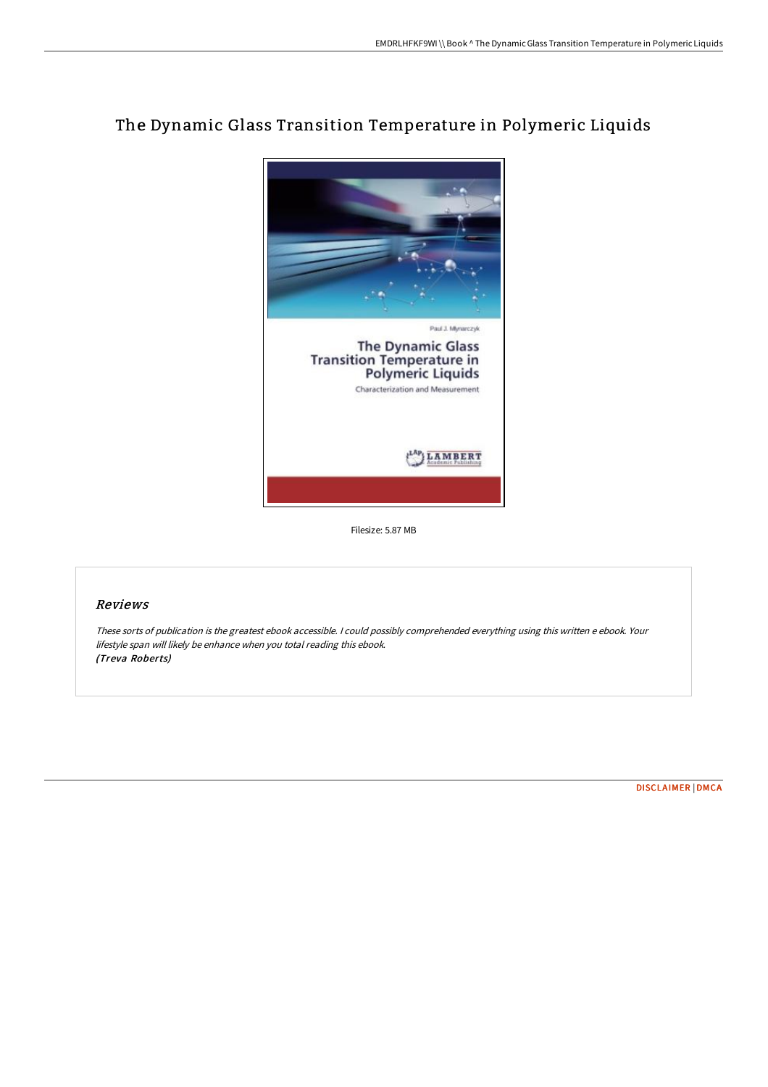# The Dynamic Glass Transition Temperature in Polymeric Liquids



Filesize: 5.87 MB

## Reviews

These sorts of publication is the greatest ebook accessible. <sup>I</sup> could possibly comprehended everything using this written <sup>e</sup> ebook. Your lifestyle span will likely be enhance when you total reading this ebook. (Treva Roberts)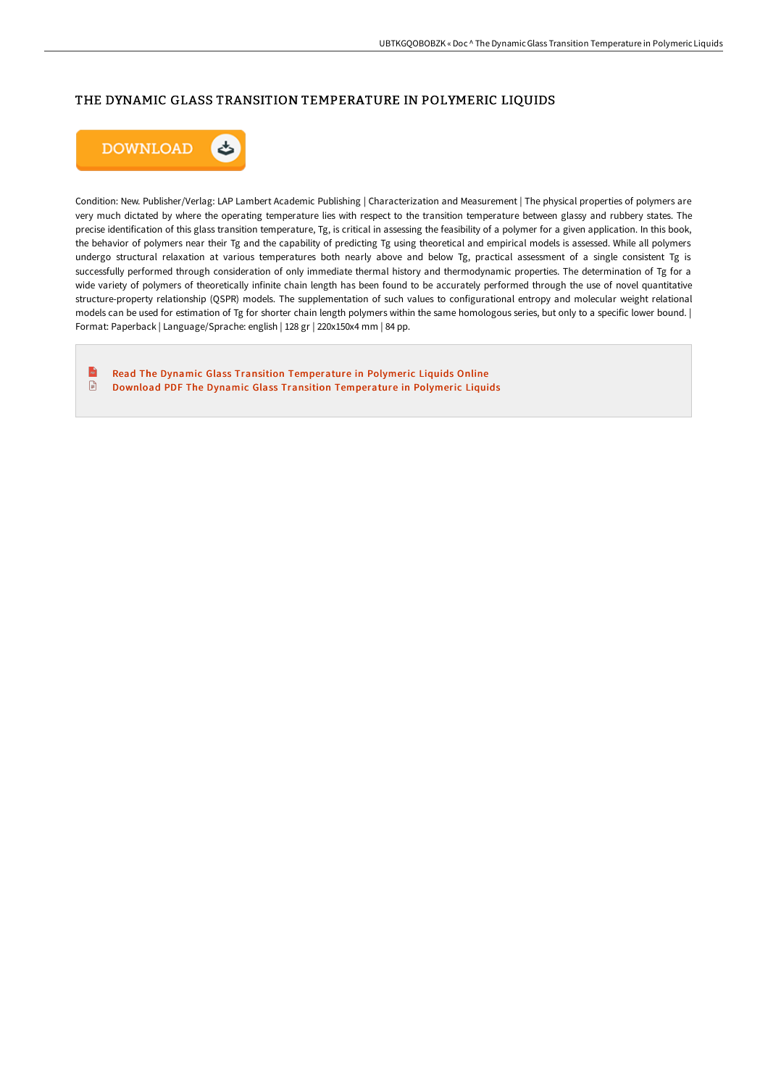## THE DYNAMIC GLASS TRANSITION TEMPERATURE IN POLYMERIC LIQUIDS



Condition: New. Publisher/Verlag: LAP Lambert Academic Publishing | Characterization and Measurement | The physical properties of polymers are very much dictated by where the operating temperature lies with respect to the transition temperature between glassy and rubbery states. The precise identification of this glass transition temperature, Tg, is critical in assessing the feasibility of a polymer for a given application. In this book, the behavior of polymers near their Tg and the capability of predicting Tg using theoretical and empirical models is assessed. While all polymers undergo structural relaxation at various temperatures both nearly above and below Tg, practical assessment of a single consistent Tg is successfully performed through consideration of only immediate thermal history and thermodynamic properties. The determination of Tg for a wide variety of polymers of theoretically infinite chain length has been found to be accurately performed through the use of novel quantitative structure-property relationship (QSPR) models. The supplementation of such values to configurational entropy and molecular weight relational models can be used for estimation of Tg for shorter chain length polymers within the same homologous series, but only to a specific lower bound. | Format: Paperback | Language/Sprache: english | 128 gr | 220x150x4 mm | 84 pp.

 $\mathbf{r}$ Read The Dynamic Glass Transition [Temperature](http://albedo.media/the-dynamic-glass-transition-temperature-in-poly.html) in Polymeric Liquids Online  $\textcolor{red}{\blacksquare}$ Download PDF The Dynamic Glass Transition [Temperature](http://albedo.media/the-dynamic-glass-transition-temperature-in-poly.html) in Polymeric Liquids